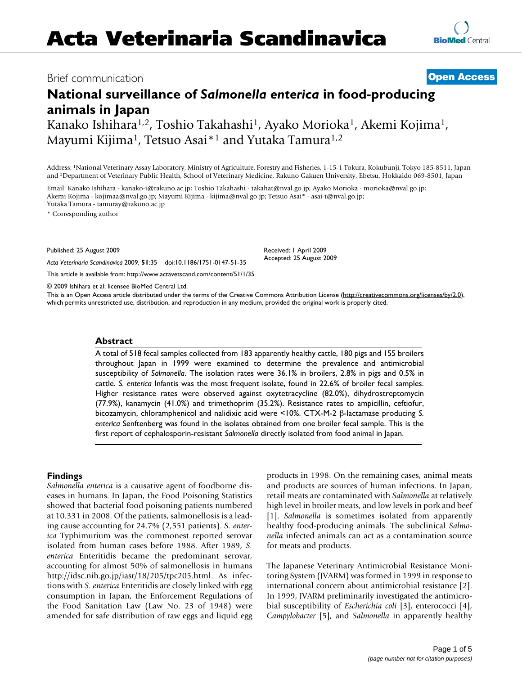## Brief communication **[Open Access](http://www.biomedcentral.com/info/about/charter/)**

# **National surveillance of** *Salmonella enterica* **in food-producing animals in Japan**

Kanako Ishihara1,2, Toshio Takahashi1, Ayako Morioka1, Akemi Kojima1, Mayumi Kijima<sup>1</sup>, Tetsuo Asai<sup>\*1</sup> and Yutaka Tamura<sup>1,2</sup>

Address: 1National Veterinary Assay Laboratory, Ministry of Agriculture, Forestry and Fisheries, 1-15-1 Tokura, Kokubunji, Tokyo 185-8511, Japan and 2Department of Veterinary Public Health, School of Veterinary Medicine, Rakuno Gakuen University, Ebetsu, Hokkaido 069-8501, Japan

Email: Kanako Ishihara - kanako-i@rakuno.ac.jp; Toshio Takahashi - takahat@nval.go.jp; Ayako Morioka - morioka@nval.go.jp; Akemi Kojima - kojimaa@nval.go.jp; Mayumi Kijima - kijima@nval.go.jp; Tetsuo Asai\* - asai-t@nval.go.jp; Yutaka Tamura - tamuray@rakuno.ac.jp

\* Corresponding author

Published: 25 August 2009

Received: 1 April 2009 Accepted: 25 August 2009

© 2009 Ishihara et al; licensee BioMed Central Ltd.

*Acta Veterinaria Scandinavica* 2009, **51**:35 doi:10.1186/1751-0147-51-35

[This article is available from: http://www.actavetscand.com/content/51/1/35](http://www.actavetscand.com/content/51/1/35)

This is an Open Access article distributed under the terms of the Creative Commons Attribution License [\(http://creativecommons.org/licenses/by/2.0\)](http://creativecommons.org/licenses/by/2.0), which permits unrestricted use, distribution, and reproduction in any medium, provided the original work is properly cited.

#### **Abstract**

A total of 518 fecal samples collected from 183 apparently healthy cattle, 180 pigs and 155 broilers throughout Japan in 1999 were examined to determine the prevalence and antimicrobial susceptibility of *Salmonella*. The isolation rates were 36.1% in broilers, 2.8% in pigs and 0.5% in cattle. *S. enterica* Infantis was the most frequent isolate, found in 22.6% of broiler fecal samples. Higher resistance rates were observed against oxytetracycline (82.0%), dihydrostreptomycin (77.9%), kanamycin (41.0%) and trimethoprim (35.2%). Resistance rates to ampicillin, ceftiofur, bicozamycin, chloramphenicol and nalidixic acid were <10%. CTX-M-2 β-lactamase producing *S. enterica* Senftenberg was found in the isolates obtained from one broiler fecal sample. This is the first report of cephalosporin-resistant *Salmonella* directly isolated from food animal in Japan.

### **Findings**

*Salmonella enterica* is a causative agent of foodborne diseases in humans. In Japan, the Food Poisoning Statistics showed that bacterial food poisoning patients numbered at 10.331 in 2008. Of the patients, salmonellosis is a leading cause accounting for 24.7% (2,551 patients). *S. enterica* Typhimurium was the commonest reported serovar isolated from human cases before 1988. After 1989, *S. enterica* Enteritidis became the predominant serovar, accounting for almost 50% of salmonellosis in humans <http://idsc.nih.go.jp/iasr/18/205/tpc205.html>. As infections with *S. enterica* Enteritidis are closely linked with egg consumption in Japan, the Enforcement Regulations of the Food Sanitation Law (Law No. 23 of 1948) were amended for safe distribution of raw eggs and liquid egg products in 1998. On the remaining cases, animal meats and products are sources of human infections. In Japan, retail meats are contaminated with *Salmonella* at relatively high level in broiler meats, and low levels in pork and beef [1]. *Salmonella* is sometimes isolated from apparently healthy food-producing animals. The subclinical *Salmonella* infected animals can act as a contamination source for meats and products.

The Japanese Veterinary Antimicrobial Resistance Monitoring System (JVARM) was formed in 1999 in response to international concern about antimicrobial resistance [2]. In 1999, JVARM preliminarily investigated the antimicrobial susceptibility of *Escherichia coli* [3], enterococci [[4](#page-4-0)], *Campylobacter* [5], and *Salmonella* in apparently healthy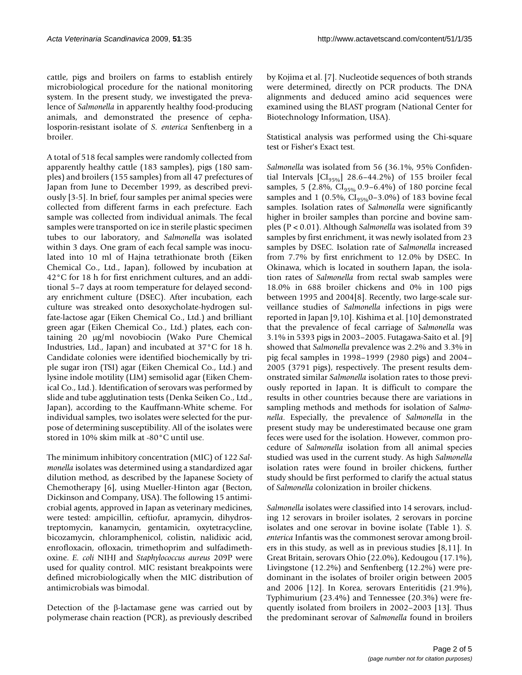cattle, pigs and broilers on farms to establish entirely microbiological procedure for the national monitoring system. In the present study, we investigated the prevalence of *Salmonella* in apparently healthy food-producing animals, and demonstrated the presence of cephalosporin-resistant isolate of *S. enterica* Senftenberg in a broiler.

A total of 518 fecal samples were randomly collected from apparently healthy cattle (183 samples), pigs (180 samples) and broilers (155 samples) from all 47 prefectures of Japan from June to December 1999, as described previously [3-5]. In brief, four samples per animal species were collected from different farms in each prefecture. Each sample was collected from individual animals. The fecal samples were transported on ice in sterile plastic specimen tubes to our laboratory, and *Salmonella* was isolated within 3 days. One gram of each fecal sample was inoculated into 10 ml of Hajna tetrathionate broth (Eiken Chemical Co., Ltd., Japan), followed by incubation at 42°C for 18 h for first enrichment cultures, and an additional 5–7 days at room temperature for delayed secondary enrichment culture (DSEC). After incubation, each culture was streaked onto desoxycholate-hydrogen sulfate-lactose agar (Eiken Chemical Co., Ltd.) and brilliant green agar (Eiken Chemical Co., Ltd.) plates, each containing 20 μg/ml novobiocin (Wako Pure Chemical Industries, Ltd., Japan) and incubated at 37°C for 18 h. Candidate colonies were identified biochemically by triple sugar iron (TSI) agar (Eiken Chemical Co., Ltd.) and lysine indole motility (LIM) semisolid agar (Eiken Chemical Co., Ltd.). Identification of serovars was performed by slide and tube agglutination tests (Denka Seiken Co., Ltd., Japan), according to the Kauffmann-White scheme. For individual samples, two isolates were selected for the purpose of determining susceptibility. All of the isolates were stored in 10% skim milk at -80°C until use.

The minimum inhibitory concentration (MIC) of 122 *Salmonella* isolates was determined using a standardized agar dilution method, as described by the Japanese Society of Chemotherapy [6], using Mueller-Hinton agar (Becton, Dickinson and Company, USA). The following 15 antimicrobial agents, approved in Japan as veterinary medicines, were tested: ampicillin, ceftiofur, apramycin, dihydrostreptomycin, kanamycin, gentamicin, oxytetracycline, bicozamycin, chloramphenicol, colistin, nalidixic acid, enrofloxacin, ofloxacin, trimethoprim and sulfadimethoxine. *E. coli* NIHJ and *Staphylococcus aureus* 209P were used for quality control. MIC resistant breakpoints were defined microbiologically when the MIC distribution of antimicrobials was bimodal.

Detection of the β-lactamase gene was carried out by polymerase chain reaction (PCR), as previously described

by Kojima et al. [7]. Nucleotide sequences of both strands were determined, directly on PCR products. The DNA alignments and deduced amino acid sequences were examined using the BLAST program (National Center for Biotechnology Information, USA).

Statistical analysis was performed using the Chi-square test or Fisher's Exact test.

*Salmonella* was isolated from 56 (36.1%, 95% Confidential Intervals  $\left[\text{CI}_{95\%}\right]$  28.6–44.2%) of 155 broiler fecal samples, 5 (2.8%,  $CI_{95\%}$  0.9–6.4%) of 180 porcine fecal samples and 1 (0.5%,  $CI_{95\%}$ 0-3.0%) of 183 bovine fecal samples. Isolation rates of *Salmonella* were significantly higher in broiler samples than porcine and bovine samples (P < 0.01). Although *Salmonella* was isolated from 39 samples by first enrichment, it was newly isolated from 23 samples by DSEC. Isolation rate of *Salmonella* increased from 7.7% by first enrichment to 12.0% by DSEC. In Okinawa, which is located in southern Japan, the isolation rates of *Salmonella* from rectal swab samples were 18.0% in 688 broiler chickens and 0% in 100 pigs between 1995 and 2004[\[8](#page-4-1)]. Recently, two large-scale surveillance studies of *Salmonella* infections in pigs were reported in Japan [9,10]. Kishima et al. [10] demonstrated that the prevalence of fecal carriage of *Salmonella* was 3.1% in 5393 pigs in 2003–2005. Futagawa-Saito et al. [9] showed that *Salmonella* prevalence was 2.2% and 3.3% in pig fecal samples in 1998–1999 (2980 pigs) and 2004– 2005 (3791 pigs), respectively. The present results demonstrated similar *Salmonella* isolation rates to those previously reported in Japan. It is difficult to compare the results in other countries because there are variations in sampling methods and methods for isolation of *Salmonella*. Especially, the prevalence of *Salmonella* in the present study may be underestimated because one gram feces were used for the isolation. However, common procedure of *Salmonella* isolation from all animal species studied was used in the current study. As high *Salmonella* isolation rates were found in broiler chickens, further study should be first performed to clarify the actual status of *Salmonella* colonization in broiler chickens.

*Salmonella* isolates were classified into 14 serovars, including 12 serovars in broiler isolates, 2 serovars in porcine isolates and one serovar in bovine isolate (Table 1). *S. enterica* Infantis was the commonest serovar among broilers in this study, as well as in previous studies [\[8,](#page-4-1)[11](#page-4-2)]. In Great Britain, serovars Ohio (22.0%), Kedougou (17.1%), Livingstone (12.2%) and Senftenberg (12.2%) were predominant in the isolates of broiler origin between 2005 and 2006 [\[12](#page-4-3)]. In Korea, serovars Enteritidis (21.9%), Typhimurium (23.4%) and Tennessee (20.3%) were frequently isolated from broilers in 2002–2003 [13]. Thus the predominant serovar of *Salmonella* found in broilers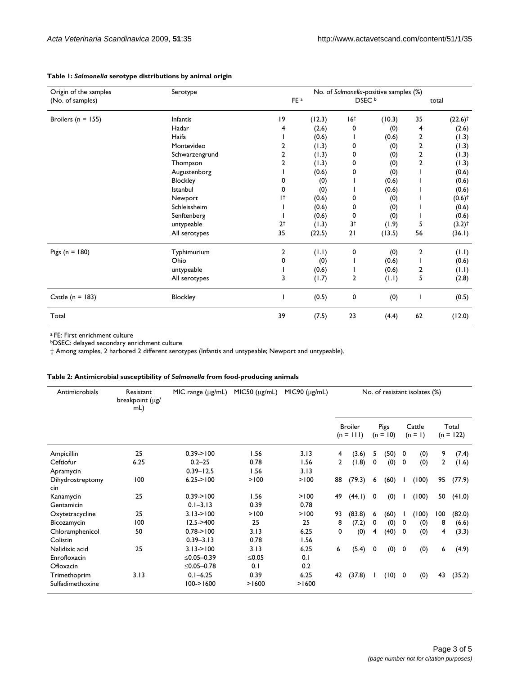| Origin of the samples  | Serotype        |                 | No. of Salmonella-positive samples (%) |                   |        |                         |                       |  |  |  |
|------------------------|-----------------|-----------------|----------------------------------------|-------------------|--------|-------------------------|-----------------------|--|--|--|
| (No. of samples)       |                 | FE <sup>a</sup> |                                        | DSEC <sup>b</sup> |        | total                   |                       |  |  |  |
| Broilers ( $n = 155$ ) | <b>Infantis</b> | 19              | (12.3)                                 | 16 <sup>†</sup>   | (10.3) | 35                      | $(22.6)$ <sup>†</sup> |  |  |  |
|                        | Hadar           | 4               | (2.6)                                  | 0                 | (0)    | 4                       | (2.6)                 |  |  |  |
|                        | Haifa           |                 | (0.6)                                  |                   | (0.6)  | 2                       | (1.3)                 |  |  |  |
|                        | Montevideo      | 2               | (1.3)                                  | 0                 | (0)    | 2                       | (1.3)                 |  |  |  |
|                        | Schwarzengrund  | 2               | (1.3)                                  | 0                 | (0)    | 2                       | (1.3)                 |  |  |  |
|                        | Thompson        | 2               | (1.3)                                  | 0                 | (0)    | $\overline{\mathbf{c}}$ | (1.3)                 |  |  |  |
|                        | Augustenborg    |                 | (0.6)                                  | 0                 | (0)    |                         | (0.6)                 |  |  |  |
|                        | Blockley        | 0               | (0)                                    |                   | (0.6)  |                         | (0.6)                 |  |  |  |
|                        | Istanbul        | 0               | (0)                                    |                   | (0.6)  |                         | (0.6)                 |  |  |  |
|                        | Newport         | 1 <sup>†</sup>  | (0.6)                                  | 0                 | (0)    |                         | $(0.6)$ <sup>†</sup>  |  |  |  |
|                        | Schleissheim    |                 | (0.6)                                  | 0                 | (0)    |                         | (0.6)                 |  |  |  |
|                        | Senftenberg     |                 | (0.6)                                  | 0                 | (0)    |                         | (0.6)                 |  |  |  |
|                        | untypeable      | 2 <sup>†</sup>  | (1.3)                                  | 3 <sup>†</sup>    | (1.9)  | 5                       | $(3.2)$ <sup>†</sup>  |  |  |  |
|                        | All serotypes   | 35              | (22.5)                                 | 21                | (13.5) | 56                      | (36.1)                |  |  |  |
| Pigs ( $n = 180$ )     | Typhimurium     | 2               | (1.1)                                  | 0                 | (0)    | 2                       | (1.1)                 |  |  |  |
|                        | Ohio            | 0               | (0)                                    |                   | (0.6)  |                         | (0.6)                 |  |  |  |
|                        | untypeable      |                 | (0.6)                                  |                   | (0.6)  | 2                       | (1.1)                 |  |  |  |
|                        | All serotypes   | 3               | (1.7)                                  | 2                 | (1.1)  | 5                       | (2.8)                 |  |  |  |
| Cattle ( $n = 183$ )   | Blockley        |                 | (0.5)                                  | 0                 | (0)    |                         | (0.5)                 |  |  |  |
| Total                  |                 | 39              | (7.5)                                  | 23                | (4.4)  | 62                      | (12.0)                |  |  |  |

#### **Table 1:** *Salmonella* **serotype distributions by animal origin**

a FE: First enrichment culture

bDSEC: delayed secondary enrichment culture

† Among samples, 2 harbored 2 different serotypes (Infantis and untypeable; Newport and untypeable).

#### **Table 2: Antimicrobial susceptibility of** *Salmonella* **from food-producing animals**

| Antimicrobials          | Resistant<br>breakpoint (µg/<br>mL) | $MIC$ range $(\mu g/mL)$ | MIC50 (µg/mL) | No. of resistant isolates (%) |                |                               |   |                    |     |                     |     |                      |
|-------------------------|-------------------------------------|--------------------------|---------------|-------------------------------|----------------|-------------------------------|---|--------------------|-----|---------------------|-----|----------------------|
|                         |                                     |                          |               |                               |                | <b>Broiler</b><br>$(n = 111)$ |   | Pigs<br>$(n = 10)$ |     | Cattle<br>$(n = 1)$ |     | Total<br>$(n = 122)$ |
| Ampicillin              | 25                                  | $0.39 - 100$             | 1.56          | 3.13                          | 4              | (3.6)                         | 5 | (50)               | 0   | (0)                 | 9   | (7.4)                |
| Ceftiofur               | 6.25                                | $0.2 - 25$               | 0.78          | 1.56                          | $\overline{2}$ | (1.8)                         | 0 | (0)                | 0   | (0)                 | 2   | (1.6)                |
| Apramycin               |                                     | $0.39 - 12.5$            | 1.56          | 3.13                          |                |                               |   |                    |     |                     |     |                      |
| Dihydrostreptomy<br>cin | 100                                 | $6.25 - 100$             | > 100         | >100                          | 88             | (79.3)                        | 6 | (60)               |     | (100)               | 95  | (77.9)               |
| Kanamycin               | 25                                  | $0.39 - 100$             | 1.56          | >100                          | 49             | (44.1)                        | 0 | (0)                |     | (100)               | 50  | (41.0)               |
| Gentamicin              |                                     | $0.1 - 3.13$             | 0.39          | 0.78                          |                |                               |   |                    |     |                     |     |                      |
| Oxytetracycline         | 25                                  | $3.13 - 100$             | >100          | >100                          | 93             | (83.8)                        | 6 | (60)               |     | (100)               | 100 | (82.0)               |
| Bicozamycin             | 100                                 | $12.5 - > 400$           | 25            | 25                            | 8              | (7.2)                         | 0 | (0)                | 0   | (0)                 | 8   | (6.6)                |
| Chloramphenicol         | 50                                  | 0.78 > 100               | 3.13          | 6.25                          | 0              | (0)                           | 4 | (40)               | 0   | (0)                 | 4   | (3.3)                |
| Colistin                |                                     | $0.39 - 3.13$            | 0.78          | 1.56                          |                |                               |   |                    |     |                     |     |                      |
| Nalidixic acid          | 25                                  | 3.13 > 100               | 3.13          | 6.25                          | 6              | (5.4)                         | 0 | (0)                | 0   | (0)                 | 6   | (4.9)                |
| Enrofloxacin            |                                     | ≤0.05–0.39               | ≤0.05         | 0.1                           |                |                               |   |                    |     |                     |     |                      |
| Ofloxacin               |                                     | $\leq 0.05 - 0.78$       | 0.1           | 0.2                           |                |                               |   |                    |     |                     |     |                      |
| Trimethoprim            | 3.13                                | $0.1 - 6.25$             | 0.39          | 6.25                          | 42             | (37.8)                        |   | (10)               | - 0 | (0)                 | 43  | (35.2)               |
| Sulfadimethoxine        |                                     | $100->1600$              | >1600         | >1600                         |                |                               |   |                    |     |                     |     |                      |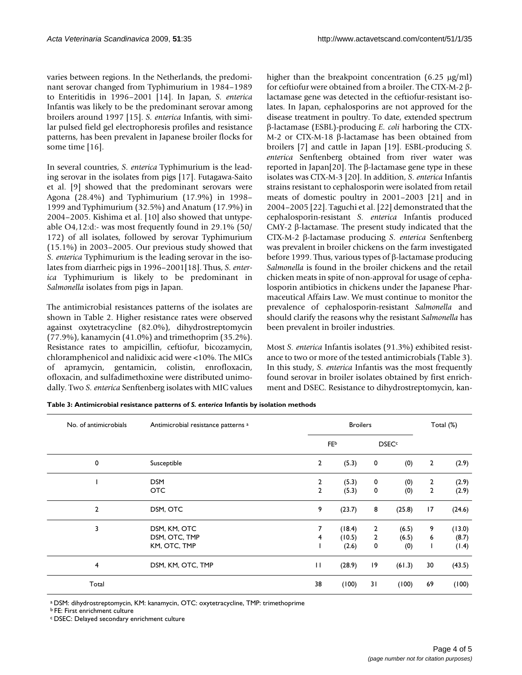varies between regions. In the Netherlands, the predominant serovar changed from Typhimurium in 1984–1989 to Enteritidis in 1996–2001 [14]. In Japan, *S. enterica* Infantis was likely to be the predominant serovar among broilers around 1997 [15]. *S. enterica* Infantis, with similar pulsed field gel electrophoresis profiles and resistance patterns, has been prevalent in Japanese broiler flocks for some time [\[16](#page-4-4)].

In several countries, *S. enterica* Typhimurium is the leading serovar in the isolates from pigs [17]. Futagawa-Saito et al. [9] showed that the predominant serovars were Agona (28.4%) and Typhimurium (17.9%) in 1998– 1999 and Typhimurium (32.5%) and Anatum (17.9%) in 2004–2005. Kishima et al. [10] also showed that untypeable O4,12:d:- was most frequently found in 29.1% (50/ 172) of all isolates, followed by serovar Typhimurium (15.1%) in 2003–2005. Our previous study showed that *S. enterica* Typhimurium is the leading serovar in the isolates from diarrheic pigs in 1996–2001[18]. Thus, *S. enterica* Typhimurium is likely to be predominant in *Salmonella* isolates from pigs in Japan.

The antimicrobial resistances patterns of the isolates are shown in Table 2. Higher resistance rates were observed against oxytetracycline (82.0%), dihydrostreptomycin (77.9%), kanamycin (41.0%) and trimethoprim (35.2%). Resistance rates to ampicillin, ceftiofur, bicozamycin, chloramphenicol and nalidixic acid were <10%. The MICs of apramycin, gentamicin, colistin, enrofloxacin, ofloxacin, and sulfadimethoxine were distributed unimodally. Two *S. enterica* Senftenberg isolates with MIC values higher than the breakpoint concentration (6.25 μg/ml) for ceftiofur were obtained from a broiler. The CTX-M-2 βlactamase gene was detected in the ceftiofur-resistant isolates. In Japan, cephalosporins are not approved for the disease treatment in poultry. To date, extended spectrum β-lactamase (ESBL)-producing *E. coli* harboring the CTX-M-2 or CTX-M-18 β-lactamase has been obtained from broilers [7] and cattle in Japan [[19](#page-4-5)]. ESBL-producing *S. enterica* Senftenberg obtained from river water was reported in Japan[20]. The β-lactamase gene type in these isolates was CTX-M-3 [20]. In addition, *S. enterica* Infantis strains resistant to cephalosporin were isolated from retail meats of domestic poultry in 2001–2003 [\[21](#page-4-6)] and in 2004–2005 [\[22](#page-4-7)]. Taguchi et al. [[22\]](#page-4-7) demonstrated that the cephalosporin-resistant *S. enterica* Infantis produced CMY-2 β-lactamase. The present study indicated that the CTX-M-2 β-lactamase producing *S. enterica* Senftenberg was prevalent in broiler chickens on the farm investigated before 1999. Thus, various types of β-lactamase producing *Salmonella* is found in the broiler chickens and the retail chicken meats in spite of non-approval for usage of cephalosporin antibiotics in chickens under the Japanese Pharmaceutical Affairs Law. We must continue to monitor the prevalence of cephalosporin-resistant *Salmonella* and should clarify the reasons why the resistant *Salmonella* has been prevalent in broiler industries.

Most *S. enterica* Infantis isolates (91.3%) exhibited resistance to two or more of the tested antimicrobials (Table 3). In this study, *S. enterica* Infantis was the most frequently found serovar in broiler isolates obtained by first enrichment and DSEC. Resistance to dihydrostreptomycin, kan-

**Table 3: Antimicrobial resistance patterns of** *S. enterica* **Infantis by isolation methods**

| No. of antimicrobials | Antimicrobial resistance patterns <sup>a</sup><br>Susceptible |                | <b>Broilers</b> |                |                         |                |        |  |
|-----------------------|---------------------------------------------------------------|----------------|-----------------|----------------|-------------------------|----------------|--------|--|
| 0                     |                                                               |                | <b>FE</b> b     |                | <b>DSEC<sup>c</sup></b> |                |        |  |
|                       |                                                               | $\overline{2}$ | (5.3)           | 0              | (0)                     | $\overline{2}$ | (2.9)  |  |
|                       | <b>DSM</b>                                                    | $\overline{2}$ | (5.3)           | 0              | (0)                     | $\overline{2}$ | (2.9)  |  |
|                       | <b>OTC</b>                                                    | 2              | (5.3)           | 0              | (0)                     | 2              | (2.9)  |  |
| $\overline{2}$        | DSM, OTC                                                      | 9              | (23.7)          | 8              | (25.8)                  | 17             | (24.6) |  |
| 3                     | DSM, KM, OTC                                                  | 7              | (18.4)          | 2              | (6.5)                   | 9              | (13.0) |  |
|                       | DSM, OTC, TMP                                                 | 4              | (10.5)          | $\overline{2}$ | (6.5)                   | 6              | (8.7)  |  |
|                       | KM, OTC, TMP                                                  |                | (2.6)           | 0              | (0)                     | T              | (1.4)  |  |
| 4                     | DSM, KM, OTC, TMP                                             | П              | (28.9)          | 9              | (61.3)                  | 30             | (43.5) |  |
| Total                 |                                                               | 38             | (100)           | 31             | (100)                   | 69             | (100)  |  |

a DSM: dihydrostreptomycin, KM: kanamycin, OTC: oxytetracycline, TMP: trimethoprime

b FE: First enrichment culture

c DSEC: Delayed secondary enrichment culture